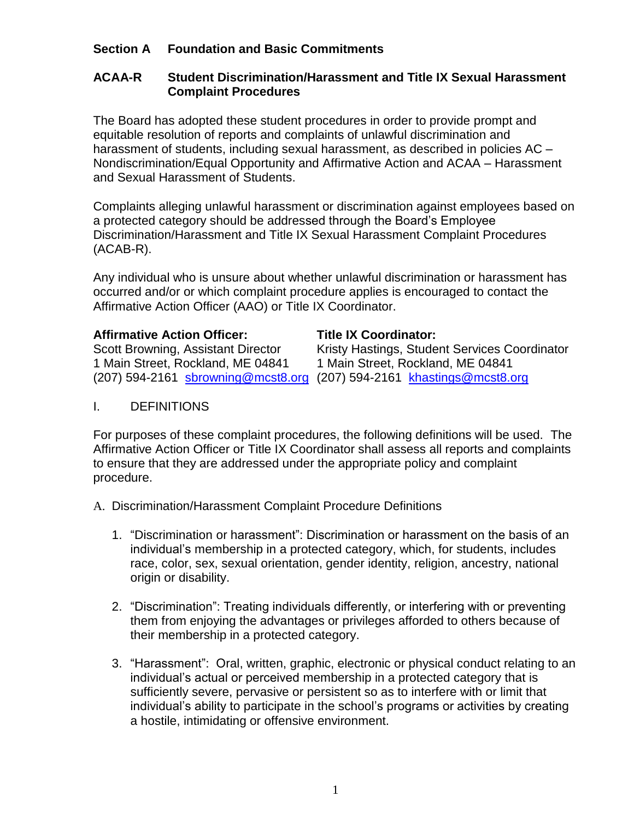# **Section A Foundation and Basic Commitments**

## **ACAA-R Student Discrimination/Harassment and Title IX Sexual Harassment Complaint Procedures**

The Board has adopted these student procedures in order to provide prompt and equitable resolution of reports and complaints of unlawful discrimination and harassment of students, including sexual harassment, as described in policies AC -Nondiscrimination/Equal Opportunity and Affirmative Action and ACAA – Harassment and Sexual Harassment of Students.

Complaints alleging unlawful harassment or discrimination against employees based on a protected category should be addressed through the Board's Employee Discrimination/Harassment and Title IX Sexual Harassment Complaint Procedures (ACAB-R).

Any individual who is unsure about whether unlawful discrimination or harassment has occurred and/or or which complaint procedure applies is encouraged to contact the Affirmative Action Officer (AAO) or Title IX Coordinator.

## **Affirmative Action Officer: Title IX Coordinator:**

1 Main Street, Rockland, ME 04841 1 Main Street, Rockland, ME 04841

Scott Browning, Assistant Director Kristy Hastings, Student Services Coordinator (207) 594-2161 [sbrowning@mcst8.org](mailto:sbrowning@mcst8.org) (207) 594-2161 [khastings@mcst8.org](mailto:khastings@mcst8.org)

I. DEFINITIONS

For purposes of these complaint procedures, the following definitions will be used. The Affirmative Action Officer or Title IX Coordinator shall assess all reports and complaints to ensure that they are addressed under the appropriate policy and complaint procedure.

- A. Discrimination/Harassment Complaint Procedure Definitions
	- 1. "Discrimination or harassment": Discrimination or harassment on the basis of an individual's membership in a protected category, which, for students, includes race, color, sex, sexual orientation, gender identity, religion, ancestry, national origin or disability.
	- 2. "Discrimination": Treating individuals differently, or interfering with or preventing them from enjoying the advantages or privileges afforded to others because of their membership in a protected category.
	- 3. "Harassment": Oral, written, graphic, electronic or physical conduct relating to an individual's actual or perceived membership in a protected category that is sufficiently severe, pervasive or persistent so as to interfere with or limit that individual's ability to participate in the school's programs or activities by creating a hostile, intimidating or offensive environment.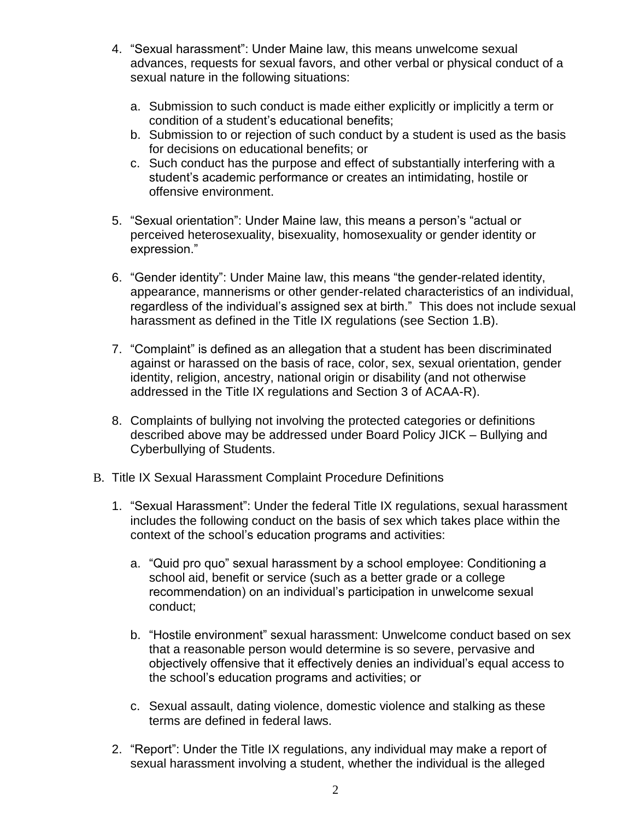- 4. "Sexual harassment": Under Maine law, this means unwelcome sexual advances, requests for sexual favors, and other verbal or physical conduct of a sexual nature in the following situations:
	- a. Submission to such conduct is made either explicitly or implicitly a term or condition of a student's educational benefits;
	- b. Submission to or rejection of such conduct by a student is used as the basis for decisions on educational benefits; or
	- c. Such conduct has the purpose and effect of substantially interfering with a student's academic performance or creates an intimidating, hostile or offensive environment.
- 5. "Sexual orientation": Under Maine law, this means a person's "actual or perceived heterosexuality, bisexuality, homosexuality or gender identity or expression."
- 6. "Gender identity": Under Maine law, this means "the gender-related identity, appearance, mannerisms or other gender-related characteristics of an individual, regardless of the individual's assigned sex at birth." This does not include sexual harassment as defined in the Title IX regulations (see Section 1.B).
- 7. "Complaint" is defined as an allegation that a student has been discriminated against or harassed on the basis of race, color, sex, sexual orientation, gender identity, religion, ancestry, national origin or disability (and not otherwise addressed in the Title IX regulations and Section 3 of ACAA-R).
- 8. Complaints of bullying not involving the protected categories or definitions described above may be addressed under Board Policy JICK – Bullying and Cyberbullying of Students.
- B. Title IX Sexual Harassment Complaint Procedure Definitions
	- 1. "Sexual Harassment": Under the federal Title IX regulations, sexual harassment includes the following conduct on the basis of sex which takes place within the context of the school's education programs and activities:
		- a. "Quid pro quo" sexual harassment by a school employee: Conditioning a school aid, benefit or service (such as a better grade or a college recommendation) on an individual's participation in unwelcome sexual conduct;
		- b. "Hostile environment" sexual harassment: Unwelcome conduct based on sex that a reasonable person would determine is so severe, pervasive and objectively offensive that it effectively denies an individual's equal access to the school's education programs and activities; or
		- c. Sexual assault, dating violence, domestic violence and stalking as these terms are defined in federal laws.
	- 2. "Report": Under the Title IX regulations, any individual may make a report of sexual harassment involving a student, whether the individual is the alleged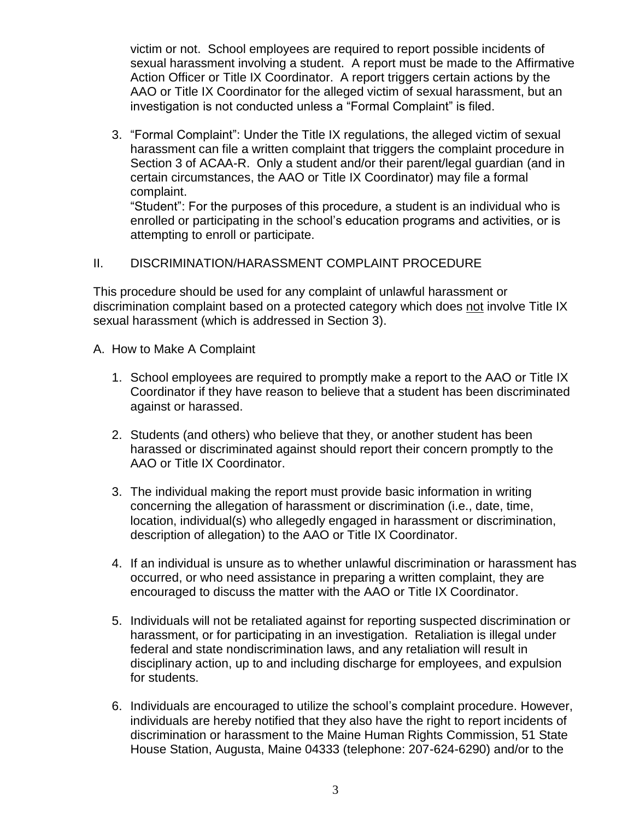victim or not. School employees are required to report possible incidents of sexual harassment involving a student. A report must be made to the Affirmative Action Officer or Title IX Coordinator. A report triggers certain actions by the AAO or Title IX Coordinator for the alleged victim of sexual harassment, but an investigation is not conducted unless a "Formal Complaint" is filed.

3. "Formal Complaint": Under the Title IX regulations, the alleged victim of sexual harassment can file a written complaint that triggers the complaint procedure in Section 3 of ACAA-R. Only a student and/or their parent/legal guardian (and in certain circumstances, the AAO or Title IX Coordinator) may file a formal complaint.

"Student": For the purposes of this procedure, a student is an individual who is enrolled or participating in the school's education programs and activities, or is attempting to enroll or participate.

# II. DISCRIMINATION/HARASSMENT COMPLAINT PROCEDURE

This procedure should be used for any complaint of unlawful harassment or discrimination complaint based on a protected category which does not involve Title IX sexual harassment (which is addressed in Section 3).

- A. How to Make A Complaint
	- 1. School employees are required to promptly make a report to the AAO or Title IX Coordinator if they have reason to believe that a student has been discriminated against or harassed.
	- 2. Students (and others) who believe that they, or another student has been harassed or discriminated against should report their concern promptly to the AAO or Title IX Coordinator.
	- 3. The individual making the report must provide basic information in writing concerning the allegation of harassment or discrimination (i.e., date, time, location, individual(s) who allegedly engaged in harassment or discrimination, description of allegation) to the AAO or Title IX Coordinator.
	- 4. If an individual is unsure as to whether unlawful discrimination or harassment has occurred, or who need assistance in preparing a written complaint, they are encouraged to discuss the matter with the AAO or Title IX Coordinator.
	- 5. Individuals will not be retaliated against for reporting suspected discrimination or harassment, or for participating in an investigation. Retaliation is illegal under federal and state nondiscrimination laws, and any retaliation will result in disciplinary action, up to and including discharge for employees, and expulsion for students.
	- 6. Individuals are encouraged to utilize the school's complaint procedure. However, individuals are hereby notified that they also have the right to report incidents of discrimination or harassment to the Maine Human Rights Commission, 51 State House Station, Augusta, Maine 04333 (telephone: 207-624-6290) and/or to the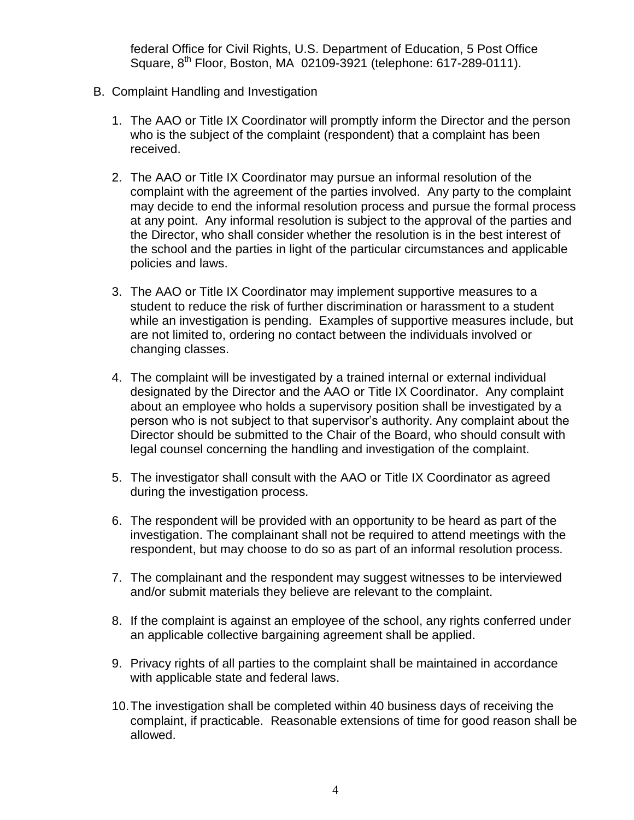federal Office for Civil Rights, U.S. Department of Education, 5 Post Office Square, 8th Floor, Boston, MA 02109-3921 (telephone: 617-289-0111).

- B. Complaint Handling and Investigation
	- 1. The AAO or Title IX Coordinator will promptly inform the Director and the person who is the subject of the complaint (respondent) that a complaint has been received.
	- 2. The AAO or Title IX Coordinator may pursue an informal resolution of the complaint with the agreement of the parties involved. Any party to the complaint may decide to end the informal resolution process and pursue the formal process at any point. Any informal resolution is subject to the approval of the parties and the Director, who shall consider whether the resolution is in the best interest of the school and the parties in light of the particular circumstances and applicable policies and laws.
	- 3. The AAO or Title IX Coordinator may implement supportive measures to a student to reduce the risk of further discrimination or harassment to a student while an investigation is pending. Examples of supportive measures include, but are not limited to, ordering no contact between the individuals involved or changing classes.
	- 4. The complaint will be investigated by a trained internal or external individual designated by the Director and the AAO or Title IX Coordinator. Any complaint about an employee who holds a supervisory position shall be investigated by a person who is not subject to that supervisor's authority. Any complaint about the Director should be submitted to the Chair of the Board, who should consult with legal counsel concerning the handling and investigation of the complaint.
	- 5. The investigator shall consult with the AAO or Title IX Coordinator as agreed during the investigation process.
	- 6. The respondent will be provided with an opportunity to be heard as part of the investigation. The complainant shall not be required to attend meetings with the respondent, but may choose to do so as part of an informal resolution process.
	- 7. The complainant and the respondent may suggest witnesses to be interviewed and/or submit materials they believe are relevant to the complaint.
	- 8. If the complaint is against an employee of the school, any rights conferred under an applicable collective bargaining agreement shall be applied.
	- 9. Privacy rights of all parties to the complaint shall be maintained in accordance with applicable state and federal laws.
	- 10.The investigation shall be completed within 40 business days of receiving the complaint, if practicable. Reasonable extensions of time for good reason shall be allowed.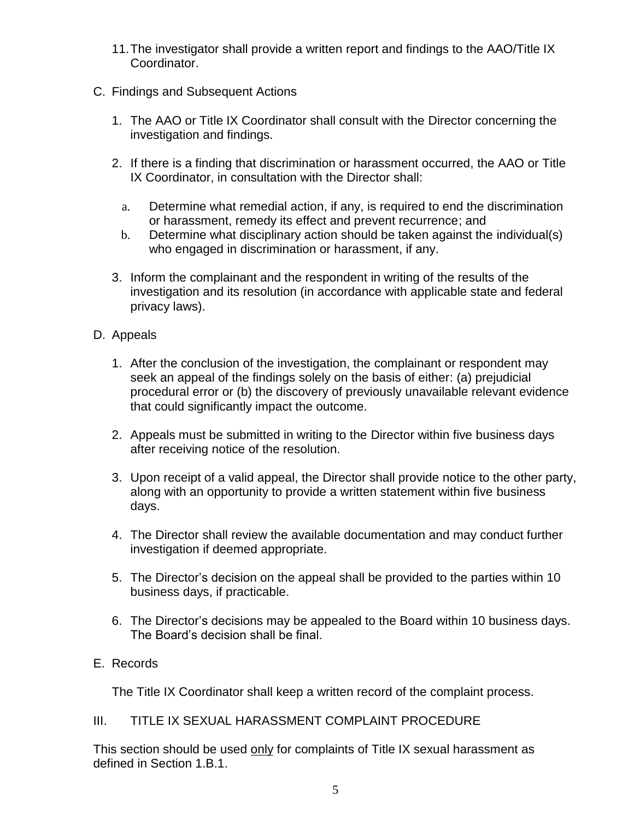- 11.The investigator shall provide a written report and findings to the AAO/Title IX Coordinator.
- C. Findings and Subsequent Actions
	- 1. The AAO or Title IX Coordinator shall consult with the Director concerning the investigation and findings.
	- 2. If there is a finding that discrimination or harassment occurred, the AAO or Title IX Coordinator, in consultation with the Director shall:
		- a. Determine what remedial action, if any, is required to end the discrimination or harassment, remedy its effect and prevent recurrence; and
		- b. Determine what disciplinary action should be taken against the individual(s) who engaged in discrimination or harassment, if any.
	- 3. Inform the complainant and the respondent in writing of the results of the investigation and its resolution (in accordance with applicable state and federal privacy laws).
- D. Appeals
	- 1. After the conclusion of the investigation, the complainant or respondent may seek an appeal of the findings solely on the basis of either: (a) prejudicial procedural error or (b) the discovery of previously unavailable relevant evidence that could significantly impact the outcome.
	- 2. Appeals must be submitted in writing to the Director within five business days after receiving notice of the resolution.
	- 3. Upon receipt of a valid appeal, the Director shall provide notice to the other party, along with an opportunity to provide a written statement within five business days.
	- 4. The Director shall review the available documentation and may conduct further investigation if deemed appropriate.
	- 5. The Director's decision on the appeal shall be provided to the parties within 10 business days, if practicable.
	- 6. The Director's decisions may be appealed to the Board within 10 business days. The Board's decision shall be final.
- E. Records

The Title IX Coordinator shall keep a written record of the complaint process.

## III. TITLE IX SEXUAL HARASSMENT COMPLAINT PROCEDURE

This section should be used only for complaints of Title IX sexual harassment as defined in Section 1.B.1.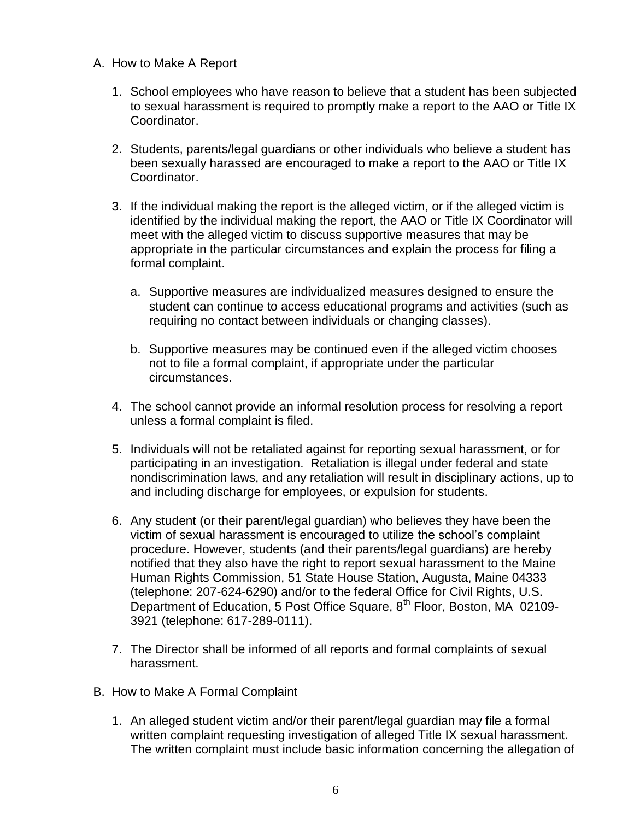- A. How to Make A Report
	- 1. School employees who have reason to believe that a student has been subjected to sexual harassment is required to promptly make a report to the AAO or Title IX Coordinator.
	- 2. Students, parents/legal guardians or other individuals who believe a student has been sexually harassed are encouraged to make a report to the AAO or Title IX Coordinator.
	- 3. If the individual making the report is the alleged victim, or if the alleged victim is identified by the individual making the report, the AAO or Title IX Coordinator will meet with the alleged victim to discuss supportive measures that may be appropriate in the particular circumstances and explain the process for filing a formal complaint.
		- a. Supportive measures are individualized measures designed to ensure the student can continue to access educational programs and activities (such as requiring no contact between individuals or changing classes).
		- b. Supportive measures may be continued even if the alleged victim chooses not to file a formal complaint, if appropriate under the particular circumstances.
	- 4. The school cannot provide an informal resolution process for resolving a report unless a formal complaint is filed.
	- 5. Individuals will not be retaliated against for reporting sexual harassment, or for participating in an investigation. Retaliation is illegal under federal and state nondiscrimination laws, and any retaliation will result in disciplinary actions, up to and including discharge for employees, or expulsion for students.
	- 6. Any student (or their parent/legal guardian) who believes they have been the victim of sexual harassment is encouraged to utilize the school's complaint procedure. However, students (and their parents/legal guardians) are hereby notified that they also have the right to report sexual harassment to the Maine Human Rights Commission, 51 State House Station, Augusta, Maine 04333 (telephone: 207-624-6290) and/or to the federal Office for Civil Rights, U.S. Department of Education, 5 Post Office Square,  $8<sup>th</sup>$  Floor, Boston, MA 02109-3921 (telephone: 617-289-0111).
	- 7. The Director shall be informed of all reports and formal complaints of sexual harassment.
- B. How to Make A Formal Complaint
	- 1. An alleged student victim and/or their parent/legal guardian may file a formal written complaint requesting investigation of alleged Title IX sexual harassment. The written complaint must include basic information concerning the allegation of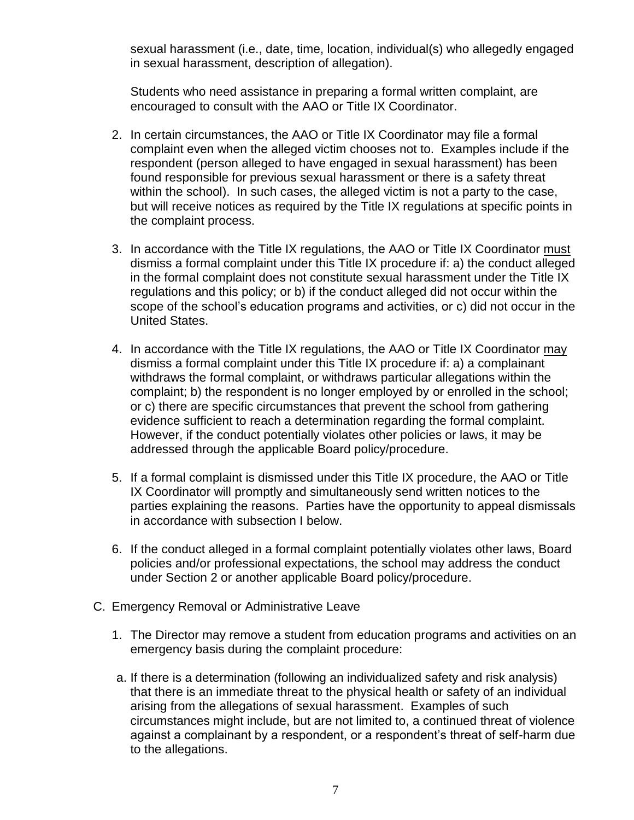sexual harassment (i.e., date, time, location, individual(s) who allegedly engaged in sexual harassment, description of allegation).

Students who need assistance in preparing a formal written complaint, are encouraged to consult with the AAO or Title IX Coordinator.

- 2. In certain circumstances, the AAO or Title IX Coordinator may file a formal complaint even when the alleged victim chooses not to. Examples include if the respondent (person alleged to have engaged in sexual harassment) has been found responsible for previous sexual harassment or there is a safety threat within the school). In such cases, the alleged victim is not a party to the case, but will receive notices as required by the Title IX regulations at specific points in the complaint process.
- 3. In accordance with the Title IX regulations, the AAO or Title IX Coordinator must dismiss a formal complaint under this Title IX procedure if: a) the conduct alleged in the formal complaint does not constitute sexual harassment under the Title IX regulations and this policy; or b) if the conduct alleged did not occur within the scope of the school's education programs and activities, or c) did not occur in the United States.
- 4. In accordance with the Title IX regulations, the AAO or Title IX Coordinator may dismiss a formal complaint under this Title IX procedure if: a) a complainant withdraws the formal complaint, or withdraws particular allegations within the complaint; b) the respondent is no longer employed by or enrolled in the school; or c) there are specific circumstances that prevent the school from gathering evidence sufficient to reach a determination regarding the formal complaint. However, if the conduct potentially violates other policies or laws, it may be addressed through the applicable Board policy/procedure.
- 5. If a formal complaint is dismissed under this Title IX procedure, the AAO or Title IX Coordinator will promptly and simultaneously send written notices to the parties explaining the reasons. Parties have the opportunity to appeal dismissals in accordance with subsection I below.
- 6. If the conduct alleged in a formal complaint potentially violates other laws, Board policies and/or professional expectations, the school may address the conduct under Section 2 or another applicable Board policy/procedure.
- C. Emergency Removal or Administrative Leave
	- 1. The Director may remove a student from education programs and activities on an emergency basis during the complaint procedure:
	- a. If there is a determination (following an individualized safety and risk analysis) that there is an immediate threat to the physical health or safety of an individual arising from the allegations of sexual harassment. Examples of such circumstances might include, but are not limited to, a continued threat of violence against a complainant by a respondent, or a respondent's threat of self-harm due to the allegations.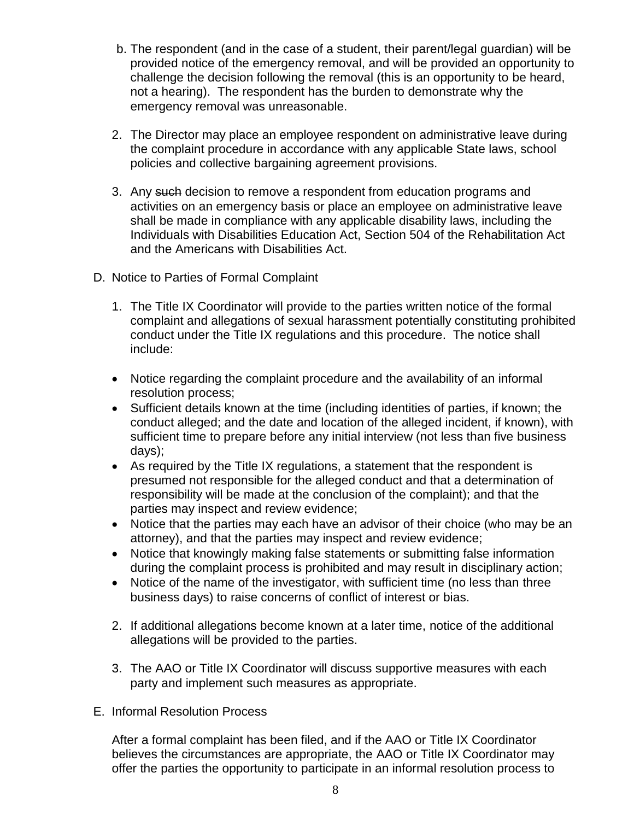- b. The respondent (and in the case of a student, their parent/legal guardian) will be provided notice of the emergency removal, and will be provided an opportunity to challenge the decision following the removal (this is an opportunity to be heard, not a hearing). The respondent has the burden to demonstrate why the emergency removal was unreasonable.
- 2. The Director may place an employee respondent on administrative leave during the complaint procedure in accordance with any applicable State laws, school policies and collective bargaining agreement provisions.
- 3. Any such decision to remove a respondent from education programs and activities on an emergency basis or place an employee on administrative leave shall be made in compliance with any applicable disability laws, including the Individuals with Disabilities Education Act, Section 504 of the Rehabilitation Act and the Americans with Disabilities Act.
- D. Notice to Parties of Formal Complaint
	- 1. The Title IX Coordinator will provide to the parties written notice of the formal complaint and allegations of sexual harassment potentially constituting prohibited conduct under the Title IX regulations and this procedure. The notice shall include:
	- Notice regarding the complaint procedure and the availability of an informal resolution process;
	- Sufficient details known at the time (including identities of parties, if known; the conduct alleged; and the date and location of the alleged incident, if known), with sufficient time to prepare before any initial interview (not less than five business days);
	- As required by the Title IX regulations, a statement that the respondent is presumed not responsible for the alleged conduct and that a determination of responsibility will be made at the conclusion of the complaint); and that the parties may inspect and review evidence;
	- Notice that the parties may each have an advisor of their choice (who may be an attorney), and that the parties may inspect and review evidence;
	- Notice that knowingly making false statements or submitting false information during the complaint process is prohibited and may result in disciplinary action;
	- Notice of the name of the investigator, with sufficient time (no less than three business days) to raise concerns of conflict of interest or bias.
	- 2. If additional allegations become known at a later time, notice of the additional allegations will be provided to the parties.
	- 3. The AAO or Title IX Coordinator will discuss supportive measures with each party and implement such measures as appropriate.
- E. Informal Resolution Process

After a formal complaint has been filed, and if the AAO or Title IX Coordinator believes the circumstances are appropriate, the AAO or Title IX Coordinator may offer the parties the opportunity to participate in an informal resolution process to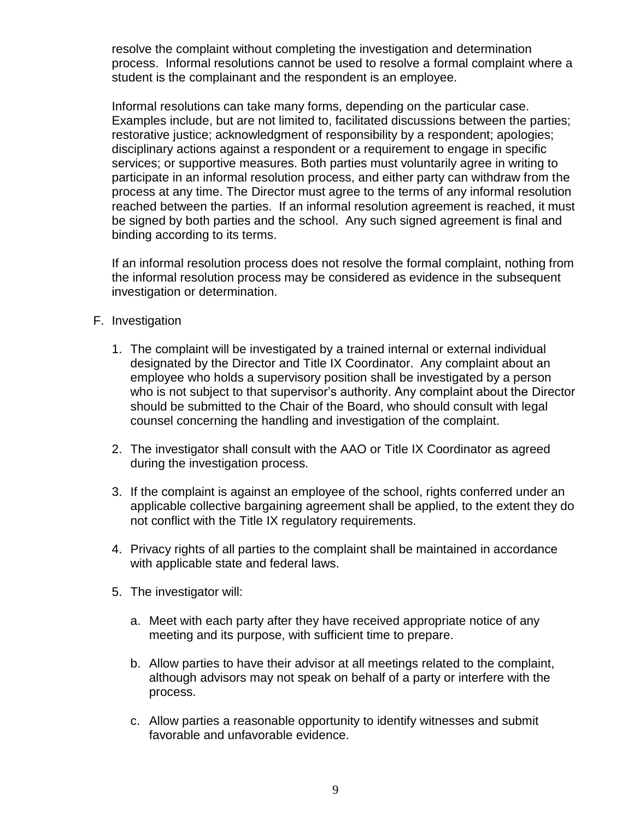resolve the complaint without completing the investigation and determination process. Informal resolutions cannot be used to resolve a formal complaint where a student is the complainant and the respondent is an employee.

Informal resolutions can take many forms, depending on the particular case. Examples include, but are not limited to, facilitated discussions between the parties; restorative justice; acknowledgment of responsibility by a respondent; apologies; disciplinary actions against a respondent or a requirement to engage in specific services; or supportive measures. Both parties must voluntarily agree in writing to participate in an informal resolution process, and either party can withdraw from the process at any time. The Director must agree to the terms of any informal resolution reached between the parties. If an informal resolution agreement is reached, it must be signed by both parties and the school. Any such signed agreement is final and binding according to its terms.

If an informal resolution process does not resolve the formal complaint, nothing from the informal resolution process may be considered as evidence in the subsequent investigation or determination.

- F. Investigation
	- 1. The complaint will be investigated by a trained internal or external individual designated by the Director and Title IX Coordinator. Any complaint about an employee who holds a supervisory position shall be investigated by a person who is not subject to that supervisor's authority. Any complaint about the Director should be submitted to the Chair of the Board, who should consult with legal counsel concerning the handling and investigation of the complaint.
	- 2. The investigator shall consult with the AAO or Title IX Coordinator as agreed during the investigation process.
	- 3. If the complaint is against an employee of the school, rights conferred under an applicable collective bargaining agreement shall be applied, to the extent they do not conflict with the Title IX regulatory requirements.
	- 4. Privacy rights of all parties to the complaint shall be maintained in accordance with applicable state and federal laws.
	- 5. The investigator will:
		- a. Meet with each party after they have received appropriate notice of any meeting and its purpose, with sufficient time to prepare.
		- b. Allow parties to have their advisor at all meetings related to the complaint, although advisors may not speak on behalf of a party or interfere with the process.
		- c. Allow parties a reasonable opportunity to identify witnesses and submit favorable and unfavorable evidence.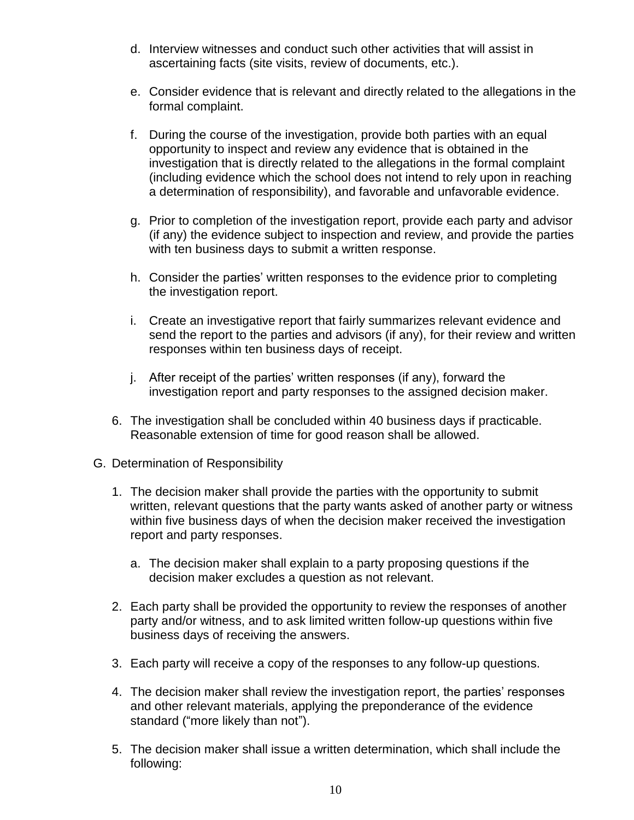- d. Interview witnesses and conduct such other activities that will assist in ascertaining facts (site visits, review of documents, etc.).
- e. Consider evidence that is relevant and directly related to the allegations in the formal complaint.
- f. During the course of the investigation, provide both parties with an equal opportunity to inspect and review any evidence that is obtained in the investigation that is directly related to the allegations in the formal complaint (including evidence which the school does not intend to rely upon in reaching a determination of responsibility), and favorable and unfavorable evidence.
- g. Prior to completion of the investigation report, provide each party and advisor (if any) the evidence subject to inspection and review, and provide the parties with ten business days to submit a written response.
- h. Consider the parties' written responses to the evidence prior to completing the investigation report.
- i. Create an investigative report that fairly summarizes relevant evidence and send the report to the parties and advisors (if any), for their review and written responses within ten business days of receipt.
- j. After receipt of the parties' written responses (if any), forward the investigation report and party responses to the assigned decision maker.
- 6. The investigation shall be concluded within 40 business days if practicable. Reasonable extension of time for good reason shall be allowed.
- G. Determination of Responsibility
	- 1. The decision maker shall provide the parties with the opportunity to submit written, relevant questions that the party wants asked of another party or witness within five business days of when the decision maker received the investigation report and party responses.
		- a. The decision maker shall explain to a party proposing questions if the decision maker excludes a question as not relevant.
	- 2. Each party shall be provided the opportunity to review the responses of another party and/or witness, and to ask limited written follow-up questions within five business days of receiving the answers.
	- 3. Each party will receive a copy of the responses to any follow-up questions.
	- 4. The decision maker shall review the investigation report, the parties' responses and other relevant materials, applying the preponderance of the evidence standard ("more likely than not").
	- 5. The decision maker shall issue a written determination, which shall include the following: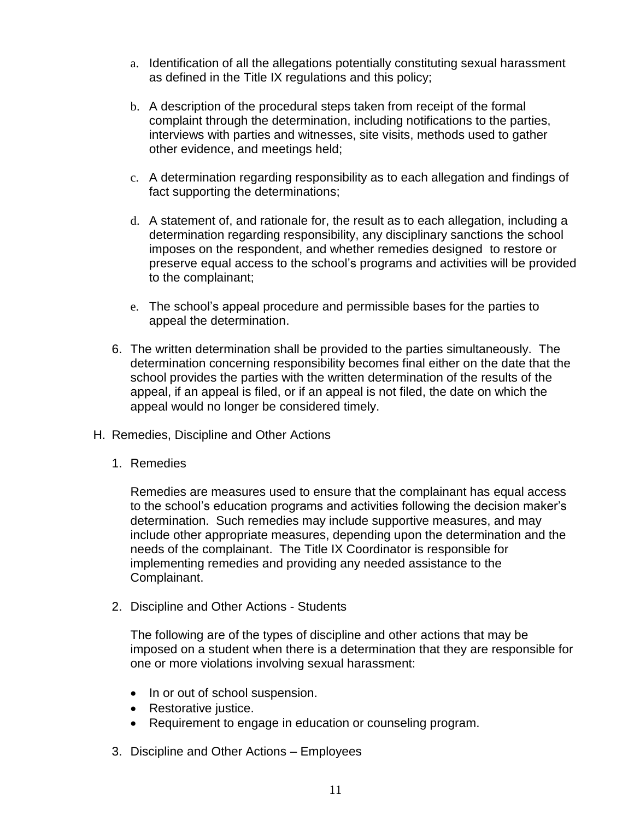- a. Identification of all the allegations potentially constituting sexual harassment as defined in the Title IX regulations and this policy;
- b. A description of the procedural steps taken from receipt of the formal complaint through the determination, including notifications to the parties, interviews with parties and witnesses, site visits, methods used to gather other evidence, and meetings held;
- c. A determination regarding responsibility as to each allegation and findings of fact supporting the determinations;
- d. A statement of, and rationale for, the result as to each allegation, including a determination regarding responsibility, any disciplinary sanctions the school imposes on the respondent, and whether remedies designed to restore or preserve equal access to the school's programs and activities will be provided to the complainant;
- e. The school's appeal procedure and permissible bases for the parties to appeal the determination.
- 6. The written determination shall be provided to the parties simultaneously. The determination concerning responsibility becomes final either on the date that the school provides the parties with the written determination of the results of the appeal, if an appeal is filed, or if an appeal is not filed, the date on which the appeal would no longer be considered timely.
- H. Remedies, Discipline and Other Actions
	- 1. Remedies

Remedies are measures used to ensure that the complainant has equal access to the school's education programs and activities following the decision maker's determination. Such remedies may include supportive measures, and may include other appropriate measures, depending upon the determination and the needs of the complainant. The Title IX Coordinator is responsible for implementing remedies and providing any needed assistance to the Complainant.

2. Discipline and Other Actions - Students

The following are of the types of discipline and other actions that may be imposed on a student when there is a determination that they are responsible for one or more violations involving sexual harassment:

- In or out of school suspension.
- Restorative justice.
- Requirement to engage in education or counseling program.
- 3. Discipline and Other Actions Employees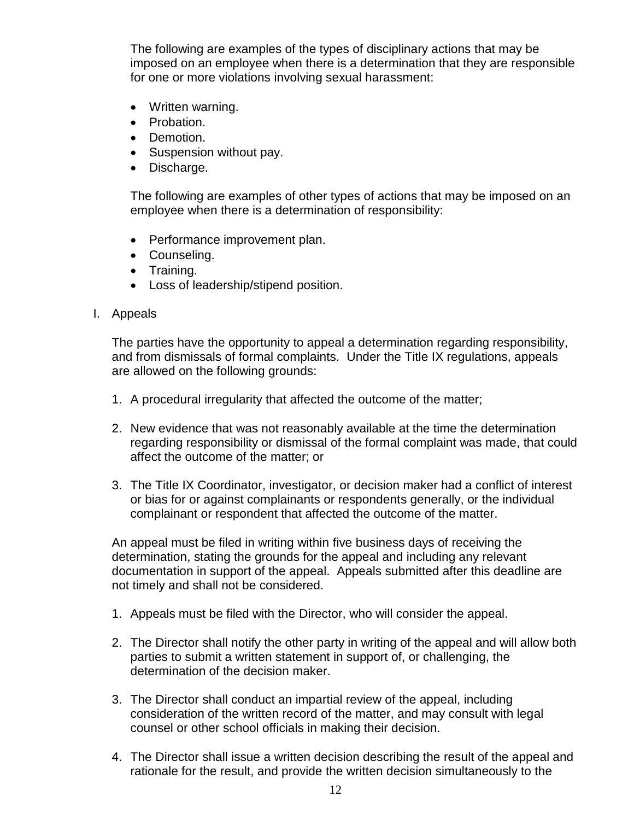The following are examples of the types of disciplinary actions that may be imposed on an employee when there is a determination that they are responsible for one or more violations involving sexual harassment:

- Written warning.
- Probation.
- Demotion.
- Suspension without pay.
- Discharge.

The following are examples of other types of actions that may be imposed on an employee when there is a determination of responsibility:

- Performance improvement plan.
- Counseling.
- Training.
- Loss of leadership/stipend position.
- I. Appeals

The parties have the opportunity to appeal a determination regarding responsibility, and from dismissals of formal complaints. Under the Title IX regulations, appeals are allowed on the following grounds:

- 1. A procedural irregularity that affected the outcome of the matter;
- 2. New evidence that was not reasonably available at the time the determination regarding responsibility or dismissal of the formal complaint was made, that could affect the outcome of the matter; or
- 3. The Title IX Coordinator, investigator, or decision maker had a conflict of interest or bias for or against complainants or respondents generally, or the individual complainant or respondent that affected the outcome of the matter.

An appeal must be filed in writing within five business days of receiving the determination, stating the grounds for the appeal and including any relevant documentation in support of the appeal. Appeals submitted after this deadline are not timely and shall not be considered.

- 1. Appeals must be filed with the Director, who will consider the appeal.
- 2. The Director shall notify the other party in writing of the appeal and will allow both parties to submit a written statement in support of, or challenging, the determination of the decision maker.
- 3. The Director shall conduct an impartial review of the appeal, including consideration of the written record of the matter, and may consult with legal counsel or other school officials in making their decision.
- 4. The Director shall issue a written decision describing the result of the appeal and rationale for the result, and provide the written decision simultaneously to the